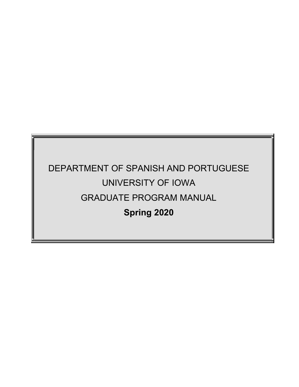# DEPARTMENT OF SPANISH AND PORTUGUESE UNIVERSITY OF IOWA GRADUATE PROGRAM MANUAL **Spring 2020**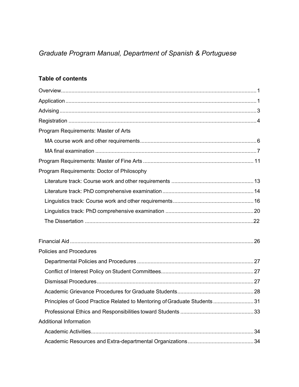# *Graduate Program Manual, Department of Spanish & Portuguese*

# **Table of contents**

| Program Requirements: Master of Arts                                    |  |
|-------------------------------------------------------------------------|--|
|                                                                         |  |
|                                                                         |  |
|                                                                         |  |
| Program Requirements: Doctor of Philosophy                              |  |
|                                                                         |  |
|                                                                         |  |
|                                                                         |  |
|                                                                         |  |
|                                                                         |  |
|                                                                         |  |
|                                                                         |  |
|                                                                         |  |
| <b>Policies and Procedures</b>                                          |  |
|                                                                         |  |
|                                                                         |  |
|                                                                         |  |
|                                                                         |  |
| Principles of Good Practice Related to Mentoring of Graduate Students31 |  |
|                                                                         |  |
| <b>Additional Information</b>                                           |  |
|                                                                         |  |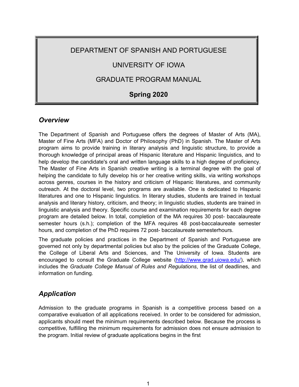## DEPARTMENT OF SPANISH AND PORTUGUESE

# UNIVERSITY OF IOWA

### GRADUATE PROGRAM MANUAL

# **Spring 2020**

### *Overview*

The Department of Spanish and Portuguese offers the degrees of Master of Arts (MA), Master of Fine Arts (MFA) and Doctor of Philosophy (PhD) in Spanish. The Master of Arts program aims to provide training in literary analysis and linguistic structure, to provide a thorough knowledge of principal areas of Hispanic literature and Hispanic linguistics, and to help develop the candidate's oral and written language skills to a high degree of proficiency. The Master of Fine Arts in Spanish creative writing is a terminal degree with the goal of helping the candidate to fully develop his or her creative writing skills, via writing workshops across genres, courses in the history and criticism of Hispanic literatures, and community outreach. At the doctoral level, two programs are available. One is dedicated to Hispanic literatures and one to Hispanic linguistics. In literary studies, students are trained in textual analysis and literary history, criticism, and theory; in linguistic studies, students are trained in linguistic analysis and theory. Specific course and examination requirements for each degree program are detailed below. In total, completion of the MA requires 30 post- baccalaureate semester hours (s.h.); completion of the MFA requires 48 post-baccalaureate semester hours, and completion of the PhD requires 72 post- baccalaureate semesterhours.

The graduate policies and practices in the Department of Spanish and Portuguese are governed not only by departmental policies but also by the policies of the Graduate College, the College of Liberal Arts and Sciences, and The University of Iowa. Students are encouraged to consult the Graduate College website (http://www.grad.uiowa.edu/), which includes the *Graduate College Manual of Rules and Regulations*, the list of deadlines, and information on funding.

### *Application*

Admission to the graduate programs in Spanish is a competitive process based on a comparative evaluation of all applications received. In order to be considered for admission, applicants should meet the minimum requirements described below. Because the process is competitive, fulfilling the minimum requirements for admission does not ensure admission to the program. Initial review of graduate applications begins in the first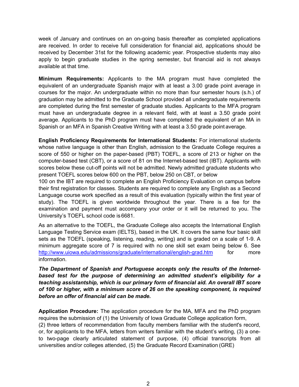week of January and continues on an on-going basis thereafter as completed applications are received. In order to receive full consideration for financial aid, applications should be received by December 31st for the following academic year. Prospective students may also apply to begin graduate studies in the spring semester, but financial aid is not always available at that time.

**Minimum Requirements:** Applicants to the MA program must have completed the equivalent of an undergraduate Spanish major with at least a 3.00 grade point average in courses for the major. An undergraduate within no more than four semester hours (s.h.) of graduation may be admitted to the Graduate School provided all undergraduate requirements are completed during the first semester of graduate studies. Applicants to the MFA program must have an undergraduate degree in a relevant field, with at least a 3.50 grade point average. Applicants to the PhD program must have completed the equivalent of an MA in Spanish or an MFA in Spanish Creative Writing with at least a 3.50 grade point average.

**English Proficiency Requirements for International Students:** For international students whose native language is other than English, admission to the Graduate College requires a score of 550 or higher on the paper-based (PBT) TOEFL, a score of 213 or higher on the computer-based test (CBT), or a score of 81 on the Internet-based test (IBT). Applicants with scores below these cut-off points will not be admitted. Newly admitted graduate students who present TOEFL scores below 600 on the PBT, below 250 on CBT, or below

100 on the IBT are required to complete an English Proficiency Evaluation on campus before their first registration for classes. Students are required to complete any English as a Second Language course work specified as a result of this evaluation (typically within the first year of study). The TOEFL is given worldwide throughout the year. There is a fee for the examination and payment must accompany your order or it will be returned to you. The University's TOEFL school code is 6681.

As an alternative to the TOEFL, the Graduate College also accepts the International English Language Testing Service exam (IELTS), based in the UK. It covers the same four basic skill sets as the TOEFL (speaking, listening, reading, writing) and is graded on a scale of 1-9. A minimum aggregate score of 7 is required with no one skill set exam being below 6. See http://www.uiowa.edu/admissions/graduate/international/english-grad.htm for more information.

*The Department of Spanish and Portuguese accepts only the results of the Internetbased test for the purpose of determining an admitted student's eligibility for a teaching assistantship, which is our primary form of financial aid. An overall IBT score of 100 or higher, with a minimum score of 26 on the speaking component, is required before an offer of financial aid can be made.*

**Application Procedure:** The application procedure for the MA, MFA and the PhD program requires the submission of (1) the University of Iowa Graduate College application form,

(2) three letters of recommendation from faculty members familiar with the student's record, or, for applicants to the MFA, letters from writers familiar with the student's writing, (3) a oneto two-page clearly articulated statement of purpose, (4) official transcripts from all universities and/or colleges attended, (5) the Graduate Record Examination (GRE)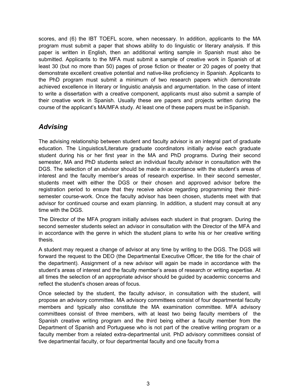scores, and (6) the IBT TOEFL score, when necessary. In addition, applicants to the MA program must submit a paper that shows ability to do linguistic or literary analysis. If this paper is written in English, then an additional writing sample in Spanish must also be submitted. Applicants to the MFA must submit a sample of creative work in Spanish of at least 30 (but no more than 50) pages of prose fiction or theater or 20 pages of poetry that demonstrate excellent creative potential and native-like proficiency in Spanish. Applicants to the PhD program must submit a minimum of two research papers which demonstrate achieved excellence in literary or linguistic analysis and argumentation. In the case of intent to write a dissertation with a creative component, applicants must also submit a sample of their creative work in Spanish. Usually these are papers and projects written during the course of the applicant's MA/MFA study. At least one of these papers must be inSpanish.

### *Advising*

The advising relationship between student and faculty advisor is an integral part of graduate education. The Linguistics/Literature graduate coordinators initially advise each graduate student during his or her first year in the MA and PhD programs. During their second semester, MA and PhD students select an individual faculty advisor in consultation with the DGS. The selection of an advisor should be made in accordance with the student's areas of interest and the faculty member's areas of research expertise. In their second semester, students meet with either the DGS or their chosen and approved advisor before the registration period to ensure that they receive advice regarding programming their thirdsemester course-work. Once the faculty advisor has been chosen, students meet with that advisor for continued course and exam planning. In addition, a student may consult at any time with the DGS.

The Director of the MFA program initially advises each student in that program. During the second semester students select an advisor in consultation with the Director of the MFA and in accordance with the genre in which the student plans to write his or her creative writing thesis.

A student may request a change of advisor at any time by writing to the DGS. The DGS will forward the request to the DEO (the Departmental Executive Officer, the title for the chair of the department). Assignment of a new advisor will again be made in accordance with the student's areas of interest and the faculty member's areas of research or writing expertise. At all times the selection of an appropriate advisor should be guided by academic concerns and reflect the student's chosen areas of focus.

Once selected by the student, the faculty advisor, in consultation with the student, will propose an advisory committee. MA advisory committees consist of four departmental faculty members and typically also constitute the MA examination committee. MFA advisory committees consist of three members, with at least two being faculty members of the Spanish creative writing program and the third being either a faculty member from the Department of Spanish and Portuguese who is not part of the creative writing program or a faculty member from a related extra-departmental unit. PhD advisory committees consist of five departmental faculty, or four departmental faculty and one faculty from a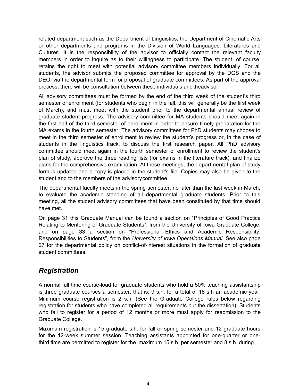related department such as the Department of Linguistics, the Department of Cinematic Arts or other departments and programs in the Division of World Languages, Literatures and Cultures. It is the responsibility of the advisor to officially contact the relevant faculty members in order to inquire as to their willingness to participate. The student, of course, retains the right to meet with potential advisory committee members individually. For all students, the advisor submits the proposed committee for approval by the DGS and the DEO, via the departmental form for proposal of graduate committees. As part of the approval process, there will be consultation between these individuals and theadvisor.

All advisory committees must be formed by the end of the third week of the student's third semester of enrollment (for students who begin in the fall, this will generally be the first week of March), and must meet with the student prior to the departmental annual review of graduate student progress. The advisory committee for MA students should meet again in the first half of the third semester of enrollment in order to ensure timely preparation for the MA exams in the fourth semester. The advisory committees for PhD students may choose to meet in the third semester of enrollment to review the student's progress or, in the case of students in the linguistics track, to discuss the first research paper. All PhD advisory committee should meet again in the fourth semester of enrollment to review the student's plan of study, approve the three reading lists (for exams in the literature track), and finalize plans for the comprehensive examination. At these meetings, the departmental plan of study form is updated and a copy is placed in the student's file. Copies may also be given to the student and to the members of the advisorycommittee.

The departmental faculty meets in the spring semester, no later than the last week in March, to evaluate the academic standing of all departmental graduate students. Prior to this meeting, all the student advisory committees that have been constituted by that time should have met.

On page 31 this Graduate Manual can be found a section on "Principles of Good Practice Relating to Mentoring of Graduate Students", from the University of Iowa Graduate College, and on page 33 a section on "Professional Ethics and Academic Responsibility: Responsibilities to Students"*,* from the *University of Iowa Operations Manual*. See also page 27 for the departmental policy on conflict-of-interest situations in the formation of graduate student committees.

### *Registration*

A normal full time course-load for graduate students who hold a 50% teaching assistantship is three graduate courses a semester, that is, 9 s.h. for a total of 18 s.h an academic year. Minimum course registration is 2 s.h. (See the Graduate College rules below regarding registration for students who have completed all requirements but the dissertation). Students who fail to register for a period of 12 months or more must apply for readmission to the Graduate College.

Maximum registration is 15 graduate s.h. for fall or spring semester and 12 graduate hours for the 12-week summer session. Teaching assistants appointed for one-quarter or onethird time are permitted to register for the maximum 15 s.h. per semester and 8 s.h. during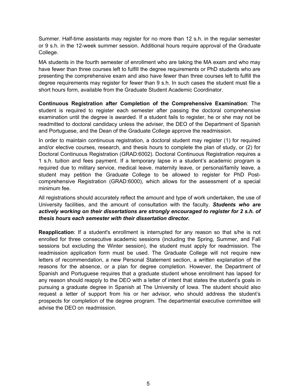Summer. Half-time assistants may register for no more than 12 s.h. in the regular semester or 9 s.h. in the 12-week summer session. Additional hours require approval of the Graduate College.

MA students in the fourth semester of enrollment who are taking the MA exam and who may have fewer than three courses left to fulfill the degree requirements or PhD students who are presenting the comprehensive exam and also have fewer than three courses left to fulfill the degree requirements may register for fewer than 9 s.h. In such cases the student must file a short hours form, available from the Graduate Student Academic Coordinator.

**Continuous Registration after Completion of the Comprehensive Examination**: The student is required to register each semester after passing the doctoral comprehensive examination until the degree is awarded. If a student fails to register, he or she may not be readmitted to doctoral candidacy unless the adviser, the DEO of the Department of Spanish and Portuguese, and the Dean of the Graduate College approve the readmission.

In order to maintain continuous registration, a doctoral student may register (1) for required and/or elective courses, research, and thesis hours to complete the plan of study, or (2) for Doctoral Continuous Registration (GRAD:6002). Doctoral Continuous Registration requires a 1 s.h. tuition and fees payment. If a temporary lapse in a student's academic program is required due to military service, medical leave, maternity leave, or personal/family leave, a student may petition the Graduate College to be allowed to register for PhD Postcomprehensive Registration (GRAD:6000), which allows for the assessment of a special minimum fee.

All registrations should accurately reflect the amount and type of work undertaken, the use of University facilities, and the amount of consultation with the faculty. *Students who are actively working on their dissertations are strongly encouraged to register for 2 s.h. of thesis hours each semester with their dissertation director.*

**Reapplication**: If a student's enrollment is interrupted for any reason so that s/he is not enrolled for three consecutive academic sessions (including the Spring, Summer, and Fall sessions but excluding the Winter session), the student must apply for readmission. The readmission application form must be used. The Graduate College will not require new letters of recommendation, a new Personal Statement section, a written explanation of the reasons for the absence, or a plan for degree completion. However, the Department of Spanish and Portuguese requires that a graduate student whose enrollment has lapsed for any reason should reapply to the DEO with a letter of intent that states the student's goals in pursuing a graduate degree in Spanish at The University of Iowa. The student should also request a letter of support from his or her advisor, who should address the student's prospects for completion of the degree program. The departmental executive committee will advise the DEO on readmission.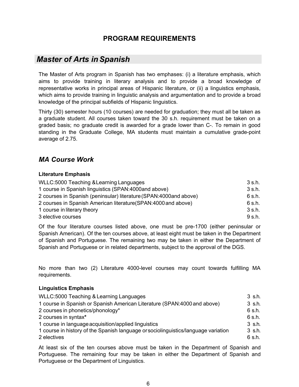# **PROGRAM REQUIREMENTS**

# *Master of Arts inSpanish*

The Master of Arts program in Spanish has two emphases: (i) a literature emphasis, which aims to provide training in literary analysis and to provide a broad knowledge of representative works in principal areas of Hispanic literature, or (ii) a linguistics emphasis, which aims to provide training in linguistic analysis and argumentation and to provide a broad knowledge of the principal subfields of Hispanic linguistics.

Thirty (30) semester hours (10 courses) are needed for graduation; they must all be taken as a graduate student. All courses taken toward the 30 s.h. requirement must be taken on a graded basis; no graduate credit is awarded for a grade lower than C-. To remain in good standing in the Graduate College, MA students must maintain a cumulative grade-point average of 2.75.

# *MA Course Work*

#### **Literature Emphasis**

| <b>WLLC:5000 Teaching &amp; Learning Languages</b>                  | 3 s.h. |
|---------------------------------------------------------------------|--------|
| 1 course in Spanish linguistics (SPAN: 4000 and above)              | 3 s.h. |
| 2 courses in Spanish (peninsular) literature (SPAN: 4000 and above) | 6 s.h. |
| 2 courses in Spanish American literature(SPAN: 4000 and above)      | 6 s.h. |
| 1 course in literary theory                                         | 3 s.h. |
| 3 elective courses                                                  | 9 s.h. |

Of the four literature courses listed above, one must be pre-1700 (either peninsular or Spanish American). Of the ten courses above, at least eight must be taken in the Department of Spanish and Portuguese. The remaining two may be taken in either the Department of Spanish and Portuguese or in related departments, subject to the approval of the DGS.

No more than two (2) Literature 4000-level courses may count towards fulfilling MA requirements.

#### **Linguistics Emphasis**

| WLLC:5000 Teaching & Learning Languages                                            | 3 s.h.      |
|------------------------------------------------------------------------------------|-------------|
| 1 course in Spanish or Spanish American Literature (SPAN: 4000 and above)          | 3 s.h.      |
| 2 courses in phonetics/phonology*                                                  | $6 \,$ s.h. |
| 2 courses in syntax*                                                               | 6 s.h.      |
| 1 course in language acquisition/applied linguistics                               | 3 s.h.      |
| 1 course in history of the Spanish language or sociolinguistics/language variation | 3 s.h.      |
| 2 electives                                                                        | 6 s.h.      |

At least six of the ten courses above must be taken in the Department of Spanish and Portuguese. The remaining four may be taken in either the Department of Spanish and Portuguese or the Department of Linguistics.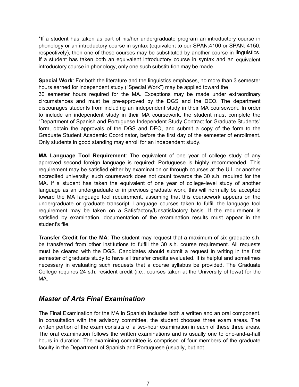\*If a student has taken as part of his/her undergraduate program an introductory course in phonology or an introductory course in syntax (equivalent to our SPAN:4100 or SPAN: 4150, respectively), then one of these courses may be substituted by another course in linguistics. If a student has taken both an equivalent introductory course in syntax and an equivalent introductory course in phonology, only one such substitution may be made.

**Special Work**: For both the literature and the linguistics emphases, no more than 3 semester hours earned for independent study ("Special Work") may be applied toward the 30 semester hours required for the MA. Exceptions may be made under extraordinary circumstances and must be pre-approved by the DGS and the DEO. The department discourages students from including an independent study in their MA coursework. In order to include an independent study in their MA coursework, the student must complete the "Department of Spanish and Portuguese Independent Study Contract for Graduate Students" form, obtain the approvals of the DGS and DEO, and submit a copy of the form to the Graduate Student Academic Coordinator, before the first day of the semester of enrollment. Only students in good standing may enroll for an independent study.

**MA Language Tool Requirement**: The equivalent of one year of college study of any approved second foreign language is required; Portuguese is highly recommended. This requirement may be satisfied either by examination or through courses at the U.I. or another accredited university; such coursework does not count towards the 30 s.h. required for the MA. If a student has taken the equivalent of one year of college-level study of another language as an undergraduate or in previous graduate work, this will normally be accepted toward the MA language tool requirement, assuming that this coursework appears on the undergraduate or graduate transcript. Language courses taken to fulfill the language tool requirement may be taken on a Satisfactory/Unsatisfactory basis. If the requirement is satisfied by examination, documentation of the examination results must appear in the student's file.

**Transfer Credit for the MA**: The student may request that a maximum of six graduate s.h. be transferred from other institutions to fulfill the 30 s.h. course requirement. All requests must be cleared with the DGS. Candidates should submit a request in writing in the first semester of graduate study to have all transfer credits evaluated. It is helpful and sometimes necessary in evaluating such requests that a course syllabus be provided. The Graduate College requires 24 s.h. resident credit (i.e., courses taken at the University of Iowa) for the MA.

### *Master of Arts Final Examination*

The Final Examination for the MA in Spanish includes both a written and an oral component. In consultation with the advisory committee, the student chooses three exam areas. The written portion of the exam consists of a two-hour examination in each of these three areas. The oral examination follows the written examinations and is usually one to one-and-a-half hours in duration. The examining committee is comprised of four members of the graduate faculty in the Department of Spanish and Portuguese (usually, but not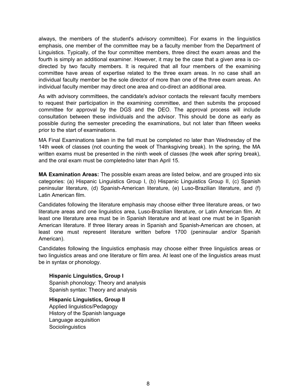always, the members of the student's advisory committee). For exams in the linguistics emphasis, one member of the committee may be a faculty member from the Department of Linguistics. Typically, of the four committee members, three direct the exam areas and the fourth is simply an additional examiner. However, it may be the case that a given area is codirected by two faculty members. It is required that all four members of the examining committee have areas of expertise related to the three exam areas. In no case shall an individual faculty member be the sole director of more than one of the three exam areas. An individual faculty member may direct one area and co-direct an additional area.

As with advisory committees, the candidate's advisor contacts the relevant faculty members to request their participation in the examining committee, and then submits the proposed committee for approval by the DGS and the DEO. The approval process will include consultation between these individuals and the advisor. This should be done as early as possible during the semester preceding the examinations, but not later than fifteen weeks prior to the start of examinations.

MA Final Examinations taken in the fall must be completed no later than Wednesday of the 14th week of classes (not counting the week of Thanksgiving break). In the spring, the MA written exams must be presented in the ninth week of classes (the week after spring break), and the oral exam must be completedno later than April 15.

**MA Examination Areas:** The possible exam areas are listed below, and are grouped into six categories: (a) Hispanic Linguistics Group I, (b) Hispanic Linguistics Group II, (c) Spanish peninsular literature, (d) Spanish-American literature, (e) Luso-Brazilian literature, and (f) Latin American film.

Candidates following the literature emphasis may choose either three literature areas, or two literature areas and one linguistics area, Luso-Brazilian literature, or Latin American film. At least one literature area must be in Spanish literature and at least one must be in Spanish American literature. If three literary areas in Spanish and Spanish-American are chosen, at least one must represent literature written before 1700 (peninsular and/or Spanish American).

Candidates following the linguistics emphasis may choose either three linguistics areas or two linguistics areas and one literature or film area. At least one of the linguistics areas must be in syntax or phonology.

#### **Hispanic Linguistics, Group I** Spanish phonology: Theory and analysis Spanish syntax: Theory and analysis

**Hispanic Linguistics, Group II**  Applied linguistics/Pedagogy History of the Spanish language Language acquisition **Sociolinguistics**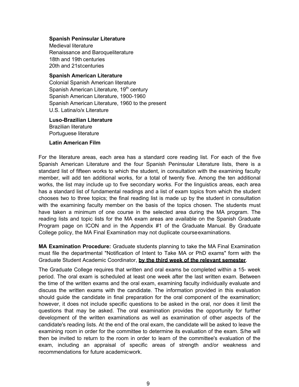#### **Spanish Peninsular Literature**

Medieval literature Renaissance and Baroqueliterature 18th and 19th centuries 20th and 21stcenturies

#### **Spanish American Literature**

Colonial Spanish American literature Spanish American Literature, 19<sup>th</sup> century Spanish American Literature, 1900-1960 Spanish American Literature, 1960 to the present U.S. Latina/o/x Literature

### **Luso-Brazilian Literature**  Brazilian literature

Portuguese literature

#### **Latin American Film**

For the literature areas, each area has a standard core reading list. For each of the five Spanish American Literature and the four Spanish Peninsular Literature lists, there is a standard list of fifteen works to which the student, in consultation with the examining faculty member, will add ten additional works, for a total of twenty five. Among the ten additional works, the list may include up to five secondary works. For the linguistics areas, each area has a standard list of fundamental readings and a list of exam topics from which the student chooses two to three topics; the final reading list is made up by the student in consultation with the examining faculty member on the basis of the topics chosen. The students must have taken a minimum of one course in the selected area during the MA program. The reading lists and topic lists for the MA exam areas are available on the Spanish Graduate Program page on ICON and in the Appendix #1 of the Graduate Manual. By Graduate College policy, the MA Final Examination may not duplicate courseexaminations.

**MA Examination Procedure:** Graduate students planning to take the MA Final Examination must file the departmental "Notification of Intent to Take MA or PhD exams" form with the Graduate Student Academic Coordinator, **by the third week of the relevant semester**.

The Graduate College requires that written and oral exams be completed within a 15- week period. The oral exam is scheduled at least one week after the last written exam. Between the time of the written exams and the oral exam, examining faculty individually evaluate and discuss the written exams with the candidate. The information provided in this evaluation should guide the candidate in final preparation for the oral component of the examination; however, it does not include specific questions to be asked in the oral, nor does it limit the questions that may be asked. The oral examination provides the opportunity for further development of the written examinations as well as examination of other aspects of the candidate's reading lists. At the end of the oral exam, the candidate will be asked to leave the examining room in order for the committee to determine its evaluation of the exam. S/he will then be invited to return to the room in order to learn of the committee's evaluation of the exam, including an appraisal of specific areas of strength and/or weakness and recommendations for future academicwork.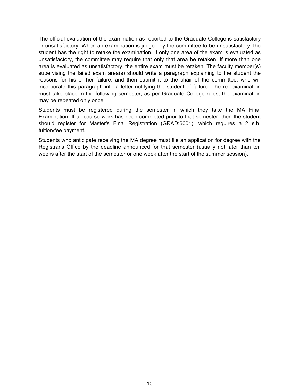The official evaluation of the examination as reported to the Graduate College is satisfactory or unsatisfactory. When an examination is judged by the committee to be unsatisfactory, the student has the right to retake the examination. If only one area of the exam is evaluated as unsatisfactory, the committee may require that only that area be retaken. If more than one area is evaluated as unsatisfactory, the entire exam must be retaken. The faculty member(s) supervising the failed exam area(s) should write a paragraph explaining to the student the reasons for his or her failure, and then submit it to the chair of the committee, who will incorporate this paragraph into a letter notifying the student of failure. The re- examination must take place in the following semester; as per Graduate College rules, the examination may be repeated only once.

Students must be registered during the semester in which they take the MA Final Examination. If all course work has been completed prior to that semester, then the student should register for Master's Final Registration (GRAD:6001), which requires a 2 s.h. tuition/fee payment.

Students who anticipate receiving the MA degree must file an application for degree with the Registrar's Office by the deadline announced for that semester (usually not later than ten weeks after the start of the semester or one week after the start of the summer session).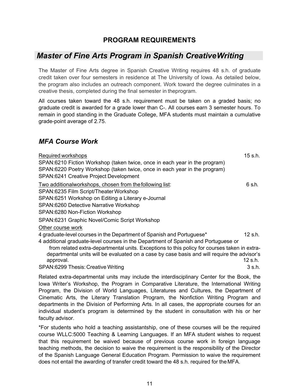### **PROGRAM REQUIREMENTS**

# *Master of Fine Arts Program in Spanish CreativeWriting*

The Master of Fine Arts degree in Spanish Creative Writing requires 48 s.h. of graduate credit taken over four semesters in residence at The University of Iowa. As detailed below, the program also includes an outreach component. Work toward the degree culminates in a creative thesis, completed during the final semester in theprogram.

All courses taken toward the 48 s.h. requirement must be taken on a graded basis; no graduate credit is awarded for a grade lower than C-. All courses earn 3 semester hours. To remain in good standing in the Graduate College, MFA students must maintain a cumulative grade-point average of 2.75.

### *MFA Course Work*

| Required workshops<br>SPAN:6210 Fiction Workshop (taken twice, once in each year in the program)<br>SPAN:6220 Poetry Workshop (taken twice, once in each year in the program)<br>SPAN:6241 Creative Project Development                                                                                                                                                                                       | 15 s.h.                        |
|---------------------------------------------------------------------------------------------------------------------------------------------------------------------------------------------------------------------------------------------------------------------------------------------------------------------------------------------------------------------------------------------------------------|--------------------------------|
| Two additionalworkshops, chosen from the following list:<br>SPAN:6235 Film Script/Theater Workshop<br>SPAN:6251 Workshop on Editing a Literary e-Journal<br><b>SPAN:6260 Detective Narrative Workshop</b><br>SPAN:6280 Non-Fiction Workshop                                                                                                                                                                   | 6 s.h.                         |
| SPAN:6231 Graphic Novel/Comic Script Workshop<br>Other course work                                                                                                                                                                                                                                                                                                                                            |                                |
| 4 graduate-level courses in the Department of Spanish and Portuguese*<br>4 additional graduate-level courses in the Department of Spanish and Portuguese or<br>from related extra-departmental units. Exceptions to this policy for courses taken in extra-<br>departmental units will be evaluated on a case by case basis and will require the advisor's<br>approval.<br>SPAN:6299 Thesis: Creative Writing | $12$ s.h.<br>12 s.h.<br>3 s.h. |
| Related extra-departmental units may include the interdisciplinary Center for the Book, the                                                                                                                                                                                                                                                                                                                   |                                |

Iowa Writer's Workshop, the Program in Comparative Literature, the International Writing Program, the Division of World Languages, Literatures and Cultures, the Department of Cinematic Arts, the Literary Translation Program, the Nonfiction Writing Program and departments in the Division of Performing Arts. In all cases, the appropriate courses for an individual student's program is determined by the student in consultation with his or her faculty advisor.

\*For students who hold a teaching assistantship, one of these courses will be the required course WLLC:5000 Teaching & Learning Languages. If an MFA student wishes to request that this requirement be waived because of previous course work in foreign language teaching methods, the decision to waive the requirement is the responsibility of the Director of the Spanish Language General Education Program. Permission to waive the requirement does not entail the awarding of transfer credit toward the 48 s.h. required for theMFA.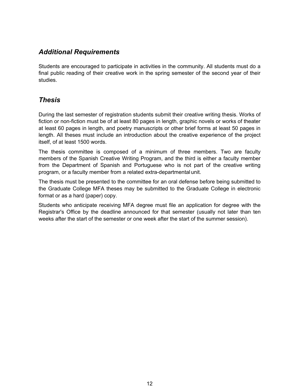# *Additional Requirements*

Students are encouraged to participate in activities in the community. All students must do a final public reading of their creative work in the spring semester of the second year of their studies.

# *Thesis*

During the last semester of registration students submit their creative writing thesis. Works of fiction or non-fiction must be of at least 80 pages in length, graphic novels or works of theater at least 60 pages in length, and poetry manuscripts or other brief forms at least 50 pages in length. All theses must include an introduction about the creative experience of the project itself, of at least 1500 words.

The thesis committee is composed of a minimum of three members. Two are faculty members of the Spanish Creative Writing Program, and the third is either a faculty member from the Department of Spanish and Portuguese who is not part of the creative writing program, or a faculty member from a related extra-departmental unit.

The thesis must be presented to the committee for an oral defense before being submitted to the Graduate College MFA theses may be submitted to the Graduate College in electronic format or as a hard (paper) copy.

Students who anticipate receiving MFA degree must file an application for degree with the Registrar's Office by the deadline announced for that semester (usually not later than ten weeks after the start of the semester or one week after the start of the summer session).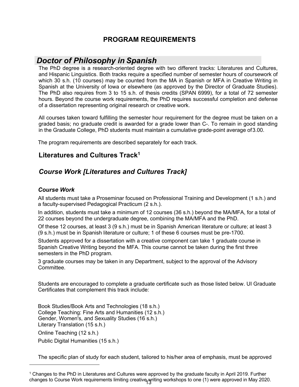# **PROGRAM REQUIREMENTS**

# *Doctor of Philosophy in Spanish*

The PhD degree is a research-oriented degree with two different tracks: Literatures and Cultures, and Hispanic Linguistics. Both tracks require a specified number of semester hours of coursework of which 30 s.h. (10 courses) may be counted from the MA in Spanish or MFA in Creative Writing in Spanish at the University of Iowa or elsewhere (as approved by the Director of Graduate Studies). The PhD also requires from 3 to 15 s.h. of thesis credits (SPAN 6999), for a total of 72 semester hours. Beyond the course work requirements, the PhD requires successful completion and defense of a dissertation representing original research or creative work.

All courses taken toward fulfilling the semester hour requirement for the degree must be taken on a graded basis; no graduate credit is awarded for a grade lower than C-. To remain in good standing in the Graduate College, PhD students must maintain a cumulative grade-point average of3.00.

The program requirements are described separately for each track.

### **Literatures and Cultures Track1**

# *Course Work [Literatures and Cultures Track]*

#### *Course Work*

All students must take a Proseminar focused on Professional Training and Development (1 s.h.) and a faculty-supervised Pedagogical Practicum (2 s.h.).

In addition, students must take a minimum of 12 courses (36 s.h.) beyond the MA/MFA, for a total of 22 courses beyond the undergraduate degree, combining the MA/MFA and the PhD.

Of these 12 courses, at least 3 (9 s.h.) must be in Spanish American literature or culture; at least 3 (9 s.h.) must be in Spanish literature or culture; 1 of these 6 courses must be pre-1700.

Students approved for a dissertation with a creative component can take 1 graduate course in Spanish Creative Writing beyond the MFA. This course cannot be taken during the first three semesters in the PhD program.

3 graduate courses may be taken in any Department, subject to the approval of the Advisory **Committee.** 

Students are encouraged to complete a graduate certificate such as those listed below. UI Graduate Certificates that complement this track include:

Book Studies/Book Arts and Technologies (18 s.h.) College Teaching: Fine Arts and Humanities (12 s.h.) Gender, Women's, and Sexuality Studies (16 s.h.) Literary Translation (15 s.h.) Online Teaching (12 s.h.) Public Digital Humanities (15 s.h.)

The specific plan of study for each student, tailored to his/her area of emphasis, must be approved

<sup>1</sup> Changes to the PhD in Literatures and Cultures were approved by the graduate faculty in April 2019. Further changes to Course Work requirements limiting creative writing workshops to one (1) were approved in May 2020.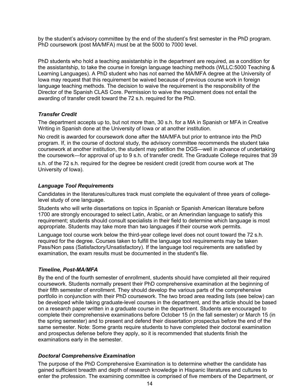by the student's advisory committee by the end of the student's first semester in the PhD program. PhD coursework (post MA/MFA) must be at the 5000 to 7000 level.

PhD students who hold a teaching assistantship in the department are required, as a condition for the assistantship, to take the course in foreign language teaching methods (WLLC:5000 Teaching & Learning Languages). A PhD student who has not earned the MA/MFA degree at the University of Iowa may request that this requirement be waived because of previous course work in foreign language teaching methods. The decision to waive the requirement is the responsibility of the Director of the Spanish CLAS Core. Permission to waive the requirement does not entail the awarding of transfer credit toward the 72 s.h. required for the PhD.

#### *Transfer Credit*

The department accepts up to, but not more than, 30 s.h. for a MA in Spanish or MFA in Creative Writing in Spanish done at the University of Iowa or at another institution.

No credit is awarded for coursework done after the MA/MFA but prior to entrance into the PhD program. If, in the course of doctoral study, the advisory committee recommends the student take coursework at another institution, the student may petition the DGS—well in advance of undertaking the coursework—for approval of up to 9 s.h. of transfer credit. The Graduate College requires that 39

s.h. of the 72 s.h. required for the degree be resident credit (credit from course work at The University of Iowa).

#### *Language Tool Requirements*

Candidates in the literatures/cultures track must complete the equivalent of three years of collegelevel study of one language.

Students who will write dissertations on topics in Spanish or Spanish American literature before 1700 are strongly encouraged to select Latin, Arabic, or an Amerindian language to satisfy this requirement; students should consult specialists in their field to determine which language is most appropriate. Students may take more than two languages if their course work permits.

Language tool course work below the third-year college level does not count toward the 72 s.h. required for the degree. Courses taken to fulfill the language tool requirements may be taken Pass/Non pass (Satisfactory/Unsatisfactory). If the language tool requirements are satisfied by examination, the exam results must be documented in the student's file.

#### *Timeline, Post-MA/MFA*

By the end of the fourth semester of enrollment, students should have completed all their required coursework. Students normally present their PhD comprehensive examination at the beginning of their fifth semester of enrollment. They should develop the various parts of the comprehensive portfolio in conjunction with their PhD coursework. The two broad area reading lists (see below) can be developed while taking graduate-level courses in the department, and the article should be based on a research paper written in a graduate course in the department. Students are encouraged to complete their comprehensive examinations before October 15 (in the fall semester) or March 15 (in the spring semester) and to present and defend their dissertation prospectus before the end of the same semester. Note: Some grants require students to have completed their doctoral examination and prospectus defense before they apply, so it is recommended that students finish the examinations early in the semester.

#### *Doctoral Comprehensive Examination*

The purpose of the PhD Comprehensive Examination is to determine whether the candidate has gained sufficient breadth and depth of research knowledge in Hispanic literatures and cultures to enter the profession. The examining committee is comprised of five members of the Department, or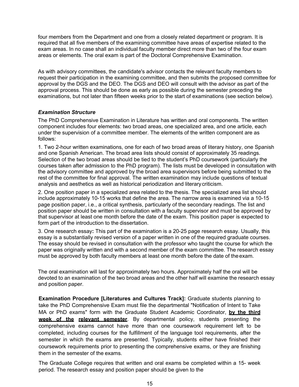four members from the Department and one from a closely related department or program. It is required that all five members of the examining committee have areas of expertise related to the exam areas. In no case shall an individual faculty member direct more than two of the four exam areas or elements. The oral exam is part of the Doctoral Comprehensive Examination.

As with advisory committees, the candidate's advisor contacts the relevant faculty members to request their participation in the examining committee, and then submits the proposed committee for approval by the DGS and the DEO. The DGS and DEO will consult with the advisor as part of the approval process. This should be done as early as possible during the semester preceding the examinations, but not later than fifteen weeks prior to the start of examinations (see section below).

#### *Examination Structure*

The PhD Comprehensive Examination in Literature has written and oral components. The written component includes four elements: two broad areas, one specialized area, and one article, each under the supervision of a committee member. The elements of the written component are as follows:

1. Two 2-hour written examinations, one for each of two broad areas of literary history, one Spanish and one Spanish American. The broad area lists should consist of approximately 35 readings. Selection of the two broad areas should be tied to the student's PhD coursework (particularly the courses taken after admission to the PhD program). The lists must be developed in consultation with the advisory committee and approved by the broad area supervisors before being submitted to the rest of the committee for final approval. The written examination may include questions of textual analysis and aesthetics as well as historical periodization and literarycriticism.

2. One position paper in a specialized area related to the thesis. The specialized area list should include approximately 10-15 works that define the area. The narrow area is examined via a 10-15 page position paper, i.e., a critical synthesis, particularly of the secondary readings. The list and position paper should be written in consultation with a faculty supervisor and must be approved by that supervisor at least one month before the date of the exam. This position paper is expected to form part of the introduction to the dissertation.

3. One research essay**:** This part of the examination is a 20-25 page research essay. Usually, this essay is a substantially revised version of a paper written in one of the required graduate courses. The essay should be revised in consultation with the professor who taught the course for which the paper was originally written and with a second member of the exam committee. The research essay must be approved by both faculty members at least one month before the date of theexam.

The oral examination will last for approximately two hours. Approximately half the oral will be devoted to an examination of the two broad areas and the other half will examine the research essay and position paper.

**Examination Procedure [Literatures and Cultures Track]:** Graduate students planning to take the PhD Comprehensive Exam must file the departmental "Notification of Intent to Take MA or PhD exams" form with the Graduate Student Academic Coordinator, **by the third week of the relevant semester**. By departmental policy, students presenting the comprehensive exams cannot have more than one coursework requirement left to be completed, including courses for the fulfillment of the language tool requirements, after the semester in which the exams are presented. Typically, students either have finished their coursework requirements prior to presenting the comprehensive exams, or they are finishing them in the semester of the exams.

The Graduate College requires that written and oral exams be completed within a 15- week period. The research essay and position paper should be given to the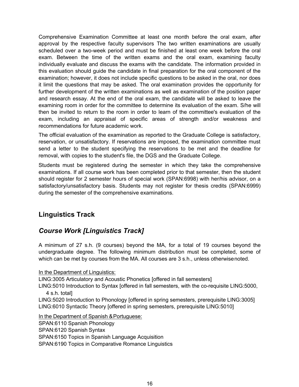Comprehensive Examination Committee at least one month before the oral exam, after approval by the respective faculty supervisors The two written examinations are usually scheduled over a two-week period and must be finished at least one week before the oral exam. Between the time of the written exams and the oral exam, examining faculty individually evaluate and discuss the exams with the candidate. The information provided in this evaluation should guide the candidate in final preparation for the oral component of the examination; however, it does not include specific questions to be asked in the oral, nor does it limit the questions that may be asked. The oral examination provides the opportunity for further development of the written examinations as well as examination of the position paper and research essay. At the end of the oral exam, the candidate will be asked to leave the examining room in order for the committee to determine its evaluation of the exam. S/he will then be invited to return to the room in order to learn of the committee's evaluation of the exam, including an appraisal of specific areas of strength and/or weakness and recommendations for future academic work.

The official evaluation of the examination as reported to the Graduate College is satisfactory, reservation, or unsatisfactory. If reservations are imposed, the examination committee must send a letter to the student specifying the reservations to be met and the deadline for removal, with copies to the student's file, the DGS and the Graduate College.

Students must be registered during the semester in which they take the comprehensive examinations. If all course work has been completed prior to that semester, then the student should register for 2 semester hours of special work (SPAN:6998) with her/his advisor, on a satisfactory/unsatisfactory basis. Students may not register for thesis credits (SPAN:6999) during the semester of the comprehensive examinations.

# **Linguistics Track**

# *Course Work [Linguistics Track]*

A minimum of 27 s.h. (9 courses) beyond the MA, for a total of 19 courses beyond the undergraduate degree. The following minimum distribution must be completed, some of which can be met by courses from the MA. All courses are 3 s.h., unless otherwisenoted.

In the Department of Linguistics:

LING:3005 Articulatory and Acoustic Phonetics [offered in fall semesters]

LING:5010 Introduction to Syntax [offered in fall semesters, with the co-requisite LING:5000, 4 s.h. total]

LING:5020 Introduction to Phonology [offered in spring semesters, prerequisite LING:3005] LING:6010 Syntactic Theory [offered in spring semesters, prerequisite LING:5010]

In the Department of Spanish & Portuguese:

SPAN:6110 Spanish Phonology

SPAN:6120 Spanish Syntax

SPAN:6150 Topics in Spanish Language Acquisition

SPAN:6190 Topics in Comparative Romance Linguistics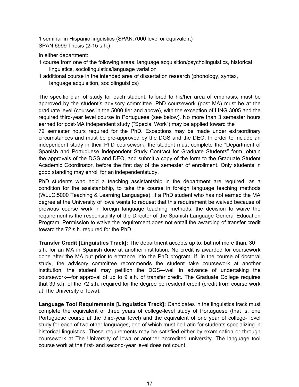1 seminar in Hispanic linguistics (SPAN:7000 level or equivalent) SPAN:6999 Thesis (2-15 s.h.)

#### In either department:

- 1 course from one of the following areas: language acquisition/psycholinguistics, historical linguistics, sociolinguistics/language variation
- 1 additional course in the intended area of dissertation research (phonology, syntax, language acquisition, sociolinguistics)

The specific plan of study for each student, tailored to his/her area of emphasis, must be approved by the student's advisory committee. PhD coursework (post MA) must be at the graduate level (courses in the 5000 tier and above), with the exception of LING 3005 and the required third-year level course in Portuguese (see below). No more than 3 semester hours earned for post-MA independent study ("Special Work") may be applied toward the

72 semester hours required for the PhD. Exceptions may be made under extraordinary circumstances and must be pre-approved by the DGS and the DEO. In order to include an independent study in their PhD coursework, the student must complete the "Department of Spanish and Portuguese Independent Study Contract for Graduate Students" form, obtain the approvals of the DGS and DEO, and submit a copy of the form to the Graduate Student Academic Coordinator, before the first day of the semester of enrollment. Only students in good standing may enroll for an independentstudy.

PhD students who hold a teaching assistantship in the department are required, as a condition for the assistantship, to take the course in foreign language teaching methods (WLLC:5000 Teaching & Learning Languages). If a PhD student who has not earned the MA degree at the University of Iowa wants to request that this requirement be waived because of previous course work in foreign language teaching methods, the decision to waive the requirement is the responsibility of the Director of the Spanish Language General Education Program. Permission to waive the requirement does not entail the awarding of transfer credit toward the 72 s.h. required for the PhD.

**Transfer Credit [Linguistics Track]:** The department accepts up to, but not more than, 30 s.h. for an MA in Spanish done at another institution. No credit is awarded for coursework done after the MA but prior to entrance into the PhD program. If, in the course of doctoral study, the advisory committee recommends the student take coursework at another institution, the student may petition the DGS—well in advance of undertaking the coursework—for approval of up to 9 s.h. of transfer credit. The Graduate College requires that 39 s.h. of the 72 s.h. required for the degree be resident credit (credit from course work at The University of Iowa).

**Language Tool Requirements [Linguistics Track]:** Candidates in the linguistics track must complete the equivalent of three years of college-level study of Portuguese (that is, one Portuguese course at the third-year level) and the equivalent of one year of college- level study for each of two other languages, one of which must be Latin for students specializing in historical linguistics. These requirements may be satisfied either by examination or through coursework at The University of Iowa or another accredited university. The language tool course work at the first- and second-year level does not count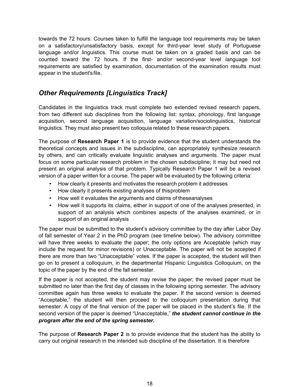towards the 72 hours. Courses taken to fulfill the language tool requirements may be taken on a satisfactory/unsatisfactory basis, except for third-year level study of Portuguese language and/or linguistics. This course must be taken on a graded basis and can be counted toward the 72 hours. If the first- and/or second-year level language tool requirements are satisfied by examination, documentation of the examination results must appear in the student's file.

# *Other Requirements [Linguistics Track]*

Candidates in the linguistics track must complete two extended revised research papers, from two different sub disciplines from the following list: syntax, phonology, first language acquisition, second language acquisition, language variation/sociolinguistics, historical linguistics. They must also present two colloquia related to these research papers.

The purpose of **Research Paper 1** is to provide evidence that the student understands the theoretical concepts and issues in the subdiscipline, can appropriately synthesize research by others, and can critically evaluate linguistic analyses and arguments. The paper must focus on some particular research problem in the chosen subdiscipline; it may but need not present an original analysis of that problem. Typically Research Paper 1 will be a revised version of a paper written for a course. The paper will be evaluated by the following criteria:

- How clearly it presents and motivates the research problem it addresses
- How clearly it presents existing analyses of thisproblem
- How well it evaluates the arguments and claims of theseanalyses
- How well it supports its claims, either in support of one of the analyses presented, in support of an analysis which combines aspects of the analyses examined, or in support of an original analysis

The paper must be submitted to the student's advisory committee by the day after Labor Day of fall semester of Year 2 in the PhD program (see timeline below). The advisory committee will have three weeks to evaluate the paper; the only options are Acceptable (which may include the request for minor revisions) or Unacceptable. The paper will not be accepted if there are more than two "Unacceptable" votes. If the paper is accepted, the student will then go on to present a colloquium, in the departmental Hispanic Linguistics Colloquium, on the topic of the paper by the end of the fall semester.

If the paper is not accepted, the student may revise the paper; the revised paper must be submitted no later than the first day of classes in the following spring semester. The advisory committee again has three weeks to evaluate the paper. If the second version is deemed "Acceptable," the student will then proceed to the colloquium presentation during that semester. A copy of the final version of the paper will be placed in the student's file. If the second version of the paper is deemed "Unacceptable," *the student cannot continue in the program after the end of the spring semester.*

The purpose of **Research Paper 2** is to provide evidence that the student has the ability to carry out original research in the intended sub discipline of the dissertation. It is therefore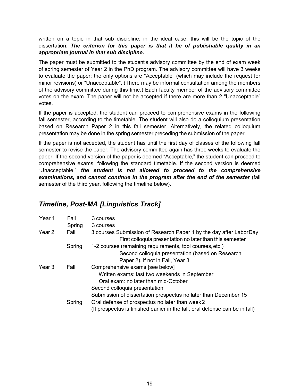written on a topic in that sub discipline; in the ideal case, this will be the topic of the dissertation. *The criterion for this paper is that it be of publishable quality in an appropriate journal in that sub discipline.*

The paper must be submitted to the student's advisory committee by the end of exam week of spring semester of Year 2 in the PhD program. The advisory committee will have 3 weeks to evaluate the paper; the only options are "Acceptable" (which may include the request for minor revisions) or "Unacceptable". (There may be informal consultation among the members of the advisory committee during this time.) Each faculty member of the advisory committee votes on the exam. The paper will not be accepted if there are more than 2 "Unacceptable" votes.

If the paper is accepted, the student can proceed to comprehensive exams in the following fall semester, according to the timetable. The student will also do a colloquium presentation based on Research Paper 2 in this fall semester. Alternatively, the related colloquium presentation may be done in the spring semester preceding the submission of the paper.

If the paper is not accepted, the student has until the first day of classes of the following fall semester to revise the paper. The advisory committee again has three weeks to evaluate the paper. If the second version of the paper is deemed "Acceptable," the student can proceed to comprehensive exams, following the standard timetable. If the second version is deemed "Unacceptable," *the student is not allowed to proceed to the comprehensive*  examinations, and cannot continue in the program after the end of the semester (fall semester of the third year, following the timeline below).

# *Timeline, Post-MA [Linguistics Track]*

| Year 1 | Fall   | 3 courses                                                                                                                      |
|--------|--------|--------------------------------------------------------------------------------------------------------------------------------|
|        | Spring | 3 courses                                                                                                                      |
| Year 2 | Fall   | 3 courses Submission of Research Paper 1 by the day after LaborDay<br>First colloquia presentation no later than this semester |
|        | Spring | 1-2 courses (remaining requirements, tool courses, etc.)                                                                       |
|        |        | Second colloquia presentation (based on Research                                                                               |
|        |        | Paper 2), if not in Fall, Year 3                                                                                               |
| Year 3 | Fall   | Comprehensive exams [see below]                                                                                                |
|        |        | Written exams: last two weekends in September                                                                                  |
|        |        | Oral exam: no later than mid-October                                                                                           |
|        |        | Second colloquia presentation                                                                                                  |
|        |        | Submission of dissertation prospectus no later than December 15                                                                |
|        | Spring | Oral defense of prospectus no later than week 2                                                                                |
|        |        | (If prospectus is finished earlier in the fall, oral defense can be in fall)                                                   |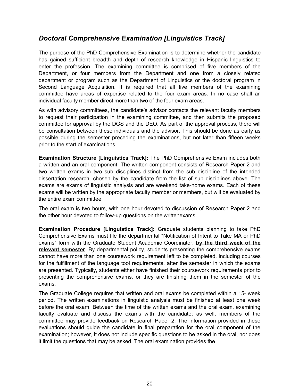# *Doctoral Comprehensive Examination [Linguistics Track]*

The purpose of the PhD Comprehensive Examination is to determine whether the candidate has gained sufficient breadth and depth of research knowledge in Hispanic linguistics to enter the profession. The examining committee is comprised of five members of the Department, or four members from the Department and one from a closely related department or program such as the Department of Linguistics or the doctoral program in Second Language Acquisition. It is required that all five members of the examining committee have areas of expertise related to the four exam areas. In no case shall an individual faculty member direct more than two of the four exam areas.

As with advisory committees, the candidate's advisor contacts the relevant faculty members to request their participation in the examining committee, and then submits the proposed committee for approval by the DGS and the DEO. As part of the approval process, there will be consultation between these individuals and the advisor. This should be done as early as possible during the semester preceding the examinations, but not later than fifteen weeks prior to the start of examinations.

**Examination Structure [Linguistics Track]:** The PhD Comprehensive Exam includes both a written and an oral component. The written component consists of Research Paper 2 and two written exams in two sub disciplines distinct from the sub discipline of the intended dissertation research, chosen by the candidate from the list of sub disciplines above. The exams are exams of linguistic analysis and are weekend take-home exams. Each of these exams will be written by the appropriate faculty member or members, but will be evaluated by the entire exam committee.

The oral exam is two hours, with one hour devoted to discussion of Research Paper 2 and the other hour devoted to follow-up questions on the writtenexams.

**Examination Procedure [Linguistics Track]:** Graduate students planning to take PhD Comprehensive Exams must file the departmental "Notification of Intent to Take MA or PhD exams" form with the Graduate Student Academic Coordinator, **by the third week of the relevant semester**. By departmental policy, students presenting the comprehensive exams cannot have more than one coursework requirement left to be completed, including courses for the fulfillment of the language tool requirements, after the semester in which the exams are presented. Typically, students either have finished their coursework requirements prior to presenting the comprehensive exams, or they are finishing them in the semester of the exams.

The Graduate College requires that written and oral exams be completed within a 15- week period. The written examinations in linguistic analysis must be finished at least one week before the oral exam. Between the time of the written exams and the oral exam, examining faculty evaluate and discuss the exams with the candidate; as well, members of the committee may provide feedback on Research Paper 2. The information provided in these evaluations should guide the candidate in final preparation for the oral component of the examination; however, it does not include specific questions to be asked in the oral, nor does it limit the questions that may be asked. The oral examination provides the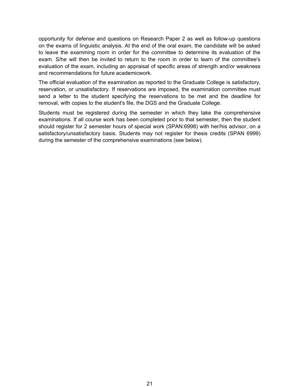opportunity for defense and questions on Research Paper 2 as well as follow-up questions on the exams of linguistic analysis. At the end of the oral exam, the candidate will be asked to leave the examining room in order for the committee to determine its evaluation of the exam. S/he will then be invited to return to the room in order to learn of the committee's evaluation of the exam, including an appraisal of specific areas of strength and/or weakness and recommendations for future academicwork.

The official evaluation of the examination as reported to the Graduate College is satisfactory, reservation, or unsatisfactory. If reservations are imposed, the examination committee must send a letter to the student specifying the reservations to be met and the deadline for removal, with copies to the student's file, the DGS and the Graduate College.

Students must be registered during the semester in which they take the comprehensive examinations. If all course work has been completed prior to that semester, then the student should register for 2 semester hours of special work (SPAN:6998) with her/his advisor, on a satisfactory/unsatisfactory basis. Students may not register for thesis credits (SPAN 6999) during the semester of the comprehensive examinations (see below).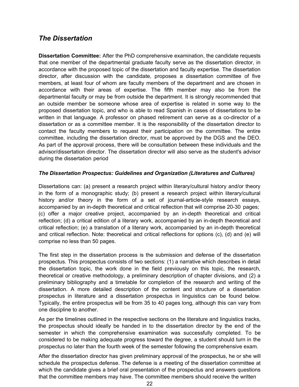### *The Dissertation*

**Dissertation Committee:** After the PhD comprehensive examination, the candidate requests that one member of the departmental graduate faculty serve as the dissertation director, in accordance with the proposed topic of the dissertation and faculty expertise. The dissertation director, after discussion with the candidate, proposes a dissertation committee of five members, at least four of whom are faculty members of the department and are chosen in accordance with their areas of expertise. The fifth member may also be from the departmental faculty or may be from outside the department. It is strongly recommended that an outside member be someone whose area of expertise is related in some way to the proposed dissertation topic, and who is able to read Spanish in cases of dissertations to be written in that language. A professor on phased retirement can serve as a co-director of a dissertation or as a committee member. It is the responsibility of the dissertation director to contact the faculty members to request their participation on the committee. The entire committee, including the dissertation director, must be approved by the DGS and the DEO. As part of the approval process, there will be consultation between these individuals and the advisor/dissertation director. The dissertation director will also serve as the student's advisor during the dissertation period

#### *The Dissertation Prospectus: Guidelines and Organization (Literatures and Cultures)*

Dissertations can: (a) present a research project within literary/cultural history and/or theory in the form of a monographic study; (b) present a research project within literary/cultural history and/or theory in the form of a set of journal-article-style research essays, accompanied by an in-depth theoretical and critical reflection that will comprise 20-30 pages; (c) offer a major creative project, accompanied by an in-depth theoretical and critical reflection; (d) a critical edition of a literary work, accompanied by an in-depth theoretical and critical reflection; (e) a translation of a literary work, accompanied by an in-depth theoretical and critical reflection. Note: theoretical and critical reflections for options (c), (d) and (e) will comprise no less than 50 pages.

The first step in the dissertation process is the submission and defense of the dissertation prospectus. This prospectus consists of two sections: (1) a narrative which describes in detail the dissertation topic, the work done in the field previously on this topic, the research, theoretical or creative methodology, a preliminary description of chapter divisions, and (2) a preliminary bibliography and a timetable for completion of the research and writing of the dissertation. A more detailed description of the content and structure of a dissertation prospectus in literature and a dissertation prospectus in linguistics can be found below. Typically, the entire prospectus will be from 35 to 40 pages long, although this can vary from one discipline to another.

As per the timelines outlined in the respective sections on the literature and linguistics tracks, the prospectus should ideally be handed in to the dissertation director by the end of the semester in which the comprehensive examination was successfully completed. To be considered to be making adequate progress toward the degree, a student should turn in the prospectus no later than the fourth week of the semester following the comprehensive exam.

After the dissertation director has given preliminary approval of the prospectus, he or she will schedule the prospectus defense. The defense is a meeting of the dissertation committee at which the candidate gives a brief oral presentation of the prospectus and answers questions that the committee members may have. The committee members should receive the written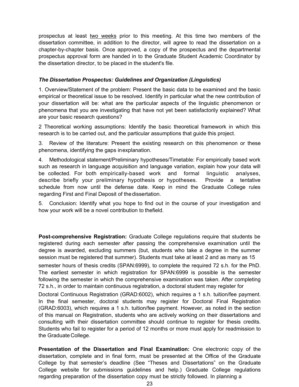prospectus at least two weeks prior to this meeting. At this time two members of the dissertation committee, in addition to the director, will agree to read the dissertation on a chapter-by-chapter basis. Once approved, a copy of the prospectus and the departmental prospectus approval form are handed in to the Graduate Student Academic Coordinator by the dissertation director, to be placed in the student's file.

#### *The Dissertation Prospectus: Guidelines and Organization (Linguistics)*

1. Overview/Statement of the problem: Present the basic data to be examined and the basic empirical or theoretical issue to be resolved. Identify in particular what the new contribution of your dissertation will be: what are the particular aspects of the linguistic phenomenon or phenomena that you are investigating that have not yet been satisfactorily explained? What are your basic research questions?

2 Theoretical working assumptions: Identify the basic theoretical framework in which this research is to be carried out, and the particular assumptions that guide this project.

3. Review of the literature: Present the existing research on this phenomenon or these phenomena, identifying the gaps inexplanation.

4. Methodological statement/Preliminary hypotheses/Timetable: For empirically based work such as research in language acquisition and language variation, explain how your data will be collected. For both empirically-based work and formal linguistic analyses, describe briefly your preliminary hypothesis or hypotheses. Provide a tentative schedule from now until the defense date. Keep in mind the Graduate College rules regarding First and Final Deposit of thedissertation.

5. Conclusion: Identify what you hope to find out in the course of your investigation and how your work will be a novel contribution to thefield.

**Post-comprehensive Registration:** Graduate College regulations require that students be registered during each semester after passing the comprehensive examination until the degree is awarded, excluding summers (but, students who take a degree in the summer session must be registered that summer). Students must take at least 2 and as many as 15

semester hours of thesis credits (SPAN:6999), to complete the required 72 s.h. for the PhD. The earliest semester in which registration for SPAN:6999 is possible is the semester following the semester in which the comprehensive examination was taken. After completing 72 s.h., in order to maintain continuous registration, a doctoral student may register for

Doctoral Continuous Registration (GRAD:6002), which requires a 1 s.h. tuition/fee payment. In the final semester, doctoral students may register for Doctoral Final Registration (GRAD:6003), which requires a 1 s.h. tuition/fee payment. However, as noted in the section of this manual on Registration, students who are actively working on their dissertations and consulting with their dissertation committee should continue to register for thesis credits. Students who fail to register for a period of 12 months or more must apply for readmission to the Graduate College.

**Presentation of the Dissertation and Final Examination:** One electronic copy of the dissertation, complete and in final form, must be presented at the Office of the Graduate College by that semester's deadline (See "Theses and Dissertations" on the Graduate College website for submissions guidelines and help.) Graduate College regulations regarding preparation of the dissertation copy must be strictly followed. In planning a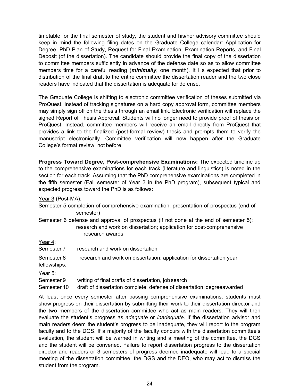timetable for the final semester of study, the student and his/her advisory committee should keep in mind the following filing dates on the Graduate College calendar: Application for Degree, PhD Plan of Study, Request for Final Examination, Examination Reports, and Final Deposit (of the dissertation). The candidate should provide the final copy of the dissertation to committee members sufficiently in advance of the defense date so as to allow committee members time for a careful reading (*minimally*, one month). It i s expected that prior to distribution of the final draft to the entire committee the dissertation reader and the two close readers have indicated that the dissertation is adequate for defense.

The Graduate College is shifting to electronic committee verification of theses submitted via ProQuest. Instead of tracking signatures on a hard copy approval form, committee members may simply sign off on the thesis through an email link. Electronic verification will replace the signed Report of Thesis Approval. Students will no longer need to provide proof of thesis on ProQuest. Instead, committee members will receive an email directly from ProQuest that provides a link to the finalized (post-formal review) thesis and prompts them to verify the manuscript electronically. Committee verification will now happen after the Graduate College's format review, not before.

**Progress Toward Degree, Post-comprehensive Examinations:** The expected timeline up to the comprehensive examinations for each track (literature and linguistics) is noted in the section for each track. Assuming that the PhD comprehensive examinations are completed in the fifth semester (Fall semester of Year 3 in the PhD program), subsequent typical and expected progress toward the PhD is as follows:

Year 3 (Post-MA):

| Semester 5 completion of comprehensive examination; presentation of prospectus (end of |  |  |  |
|----------------------------------------------------------------------------------------|--|--|--|
| semester)                                                                              |  |  |  |
|                                                                                        |  |  |  |

Semester 6 defense and approval of prospectus (if not done at the end of semester 5); research and work on dissertation; application for post-comprehensive research awards

| Year 4: |  |
|---------|--|
|         |  |

| Year 4:                    |                                                                        |
|----------------------------|------------------------------------------------------------------------|
| Semester 7                 | research and work on dissertation                                      |
| Semester 8<br>fellowships. | research and work on dissertation; application for dissertation year   |
| Year 5:                    |                                                                        |
| Semester 9                 | writing of final drafts of dissertation, job search                    |
| Semester 10                | draft of dissertation complete, defense of dissertation; degreeawarded |

At least once every semester after passing comprehensive examinations, students must show progress on their dissertation by submitting their work to their dissertation director and the two members of the dissertation committee who act as main readers. They will then evaluate the student's progress as *adequate* or *inadequate*. If the dissertation advisor and main readers deem the student's progress to be inadequate, they will report to the program faculty and to the DGS. If a majority of the faculty concurs with the dissertation committee's evaluation, the student will be warned in writing and a meeting of the committee, the DGS and the student will be convened. Failure to report dissertation progress to the dissertation director and readers or 3 semesters of progress deemed inadequate will lead to a special meeting of the dissertation committee, the DGS and the DEO, who may act to dismiss the student from the program.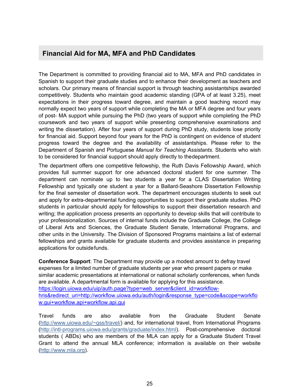### **Financial Aid for MA, MFA and PhD Candidates**

The Department is committed to providing financial aid to MA, MFA and PhD candidates in Spanish to support their graduate studies and to enhance their development as teachers and scholars. Our primary means of financial support is through teaching assistantships awarded competitively. Students who maintain good academic standing (GPA of at least 3.25), meet expectations in their progress toward degree, and maintain a good teaching record may normally expect two years of support while completing the MA or MFA degree and four years of post- MA support while pursuing the PhD (two years of support while completing the PhD coursework and two years of support while presenting comprehensive examinations and writing the dissertation). After four years of support during PhD study, students lose priority for financial aid. Support beyond four years for the PhD is contingent on evidence of student progress toward the degree and the availability of assistantships. Please refer to the Department of Spanish and Portuguese *Manual for Teaching Assistants*. Students who wish to be considered for financial support should apply directly to thedepartment.

The department offers one competitive fellowship, the Ruth Davis Fellowship Award, which provides full summer support for one advanced doctoral student for one summer. The department can nominate up to two students a year for a CLAS Dissertation Writing Fellowship and typically one student a year for a Ballard-Seashore Dissertation Fellowship for the final semester of dissertation work. The department encourages students to seek out and apply for extra-departmental funding opportunities to support their graduate studies. PhD students in particular should apply for fellowships to support their dissertation research and writing; the application process presents an opportunity to develop skills that will contribute to your professionalization. Sources of internal funds include the Graduate College, the College of Liberal Arts and Sciences, the Graduate Student Senate, International Programs, and other units in the University. The Division of Sponsored Programs maintains a list of external fellowships and grants available for graduate students and provides assistance in preparing applications for outsidefunds.

**Conference Support**: The Department may provide up a modest amount to defray travel expenses for a limited number of graduate students per year who present papers or make similar academic presentations at international or national scholarly conferences, when funds are available. A departmental form is available for applying for this assistance. https://login.uiowa.edu/uip/auth.page?type=web\_server&client\_id=workflowhris&redirect\_uri=http://workflow.uiowa.edu/auth/login&response\_type=code&scope=workflo w.gui+workflow.api+workflow.api.gui

Travel funds are also available from the Graduate Student Senate (http://www.uiowa.edu/~gss/travel/) and, for international travel, from International Programs (http://intl-programs.uiowa.edu/grants/graduate/index.html). Post-comprehensive doctoral students ( ABDs) who are members of the MLA can apply for a Graduate Student Travel Grant to attend the annual MLA conference; information is available on their website (http://www.mla.org).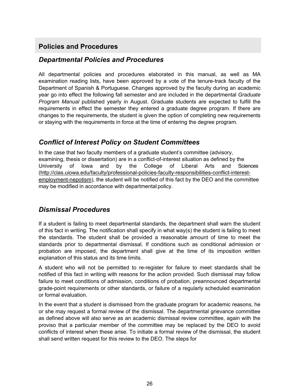# **Policies and Procedures**

### *Departmental Policies and Procedures*

All departmental policies and procedures elaborated in this manual, as well as MA examination reading lists, have been approved by a vote of the tenure-track faculty of the Department of Spanish & Portuguese. Changes approved by the faculty during an academic year go into effect the following fall semester and are included in the departmental *Graduate Program Manual* published yearly in August. Graduate students are expected to fulfill the requirements in effect the semester they entered a graduate degree program. If there are changes to the requirements, the student is given the option of completing new requirements or staying with the requirements in force at the time of entering the degree program.

### *Conflict of Interest Policy on Student Committees*

In the case that two faculty members of a graduate student's committee (advisory, examining, thesis or dissertation) are in a conflict-of-interest situation as defined by the University of Iowa and by the College of Liberal Arts and Sciences (http://clas.uiowa.edu/faculty/professional-policies-faculty-responsibilities-conflict-interestemployment-nepotism), the student will be notified of this fact by the DEO and the committee may be modified in accordance with departmental policy.

### *Dismissal Procedures*

If a student is failing to meet departmental standards, the department shall warn the student of this fact in writing. The notification shall specify in what way(s) the student is failing to meet the standards. The student shall be provided a reasonable amount of time to meet the standards prior to departmental dismissal. If conditions such as conditional admission or probation are imposed, the department shall give at the time of its imposition written explanation of this status and its time limits.

A student who will not be permitted to re-register for failure to meet standards shall be notified of this fact in writing with reasons for the action provided. Such dismissal may follow failure to meet conditions of admission, conditions of probation, preannounced departmental grade-point requirements or other standards, or failure of a regularly scheduled examination or formal evaluation.

In the event that a student is dismissed from the graduate program for academic reasons, he or she may request a formal review of the dismissal. The departmental grievance committee as defined above will also serve as an academic dismissal review committee, again with the proviso that a particular member of the committee may be replaced by the DEO to avoid conflicts of interest when these arise. To initiate a formal review of the dismissal, the student shall send written request for this review to the DEO. The steps for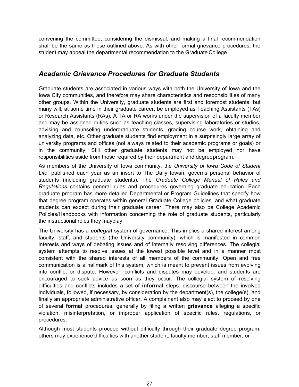convening the committee, considering the dismissal, and making a final recommendation shall be the same as those outlined above. As with other formal grievance procedures, the student may appeal the departmental recommendation to the Graduate College.

### *Academic Grievance Procedures for Graduate Students*

Graduate students are associated in various ways with both the University of Iowa and the Iowa City communities, and therefore may share characteristics and responsibilities of many other groups. Within the University, graduate students are first and foremost students, but many will, at some time in their graduate career, be employed as Teaching Assistants (TAs) or Research Assistants (RAs). A TA or RA works under the supervision of a faculty member and may be assigned duties such as teaching classes, supervising laboratories or studios, advising and counseling undergraduate students, grading course work, obtaining and analyzing data, etc. Other graduate students find employment in a surprisingly large array of university programs and offices (not always related to their academic programs or goals) or in the community. Still other graduate students may not be employed nor have responsibilities aside from those required by their department and degreeprogram.

As members of the University of Iowa community, the *University of Iowa Code of Student Life*, published each year as an insert to The Daily Iowan, governs personal behavior of students (including graduate students). The *Graduate College Manual of Rules and Regulations* contains general rules and procedures governing graduate education. Each graduate program has more detailed Departmental or Program Guidelines that specify how that degree program operates within general Graduate College policies, and what graduate students can expect during their graduate career. There may also be College Academic Policies/Handbooks with information concerning the role of graduate students, particularly the instructional roles they mayplay.

The University has a *collegial* system of governance. This implies a shared interest among faculty, staff, and students (the University community), which is manifested in common interests and ways of debating issues and of internally resolving differences. The collegial system attempts to resolve issues at the lowest possible level and in a manner most consistent with the shared interests of all members of the community. Open and free communication is a hallmark of this system, which is meant to prevent issues from evolving into conflict or dispute. However, conflicts and disputes may develop, and students are encouraged to seek advice as soon as they occur. The collegial system of resolving difficulties and conflicts includes a set of **informal** steps: discourse between the involved individuals, followed, if necessary, by consideration by the department(s), the college(s), and finally an appropriate administrative officer. A complainant also may elect to proceed by one of several **formal** procedures, generally by filing a written **grievance** alleging a specific violation, misinterpretation, or improper application of specific rules, regulations, or procedures.

Although most students proceed without difficulty through their graduate degree program, others may experience difficulties with another student, faculty member, staff member, or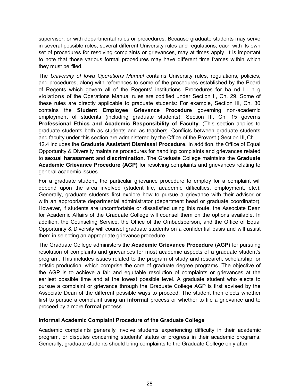supervisor; or with departmental rules or procedures. Because graduate students may serve in several possible roles, several different University rules and regulations, each with its own set of procedures for resolving complaints or grievances, may at times apply. It is important to note that those various formal procedures may have different time frames within which they must be filed.

The *University of Iowa Operations Manual* contains University rules, regulations, policies, and procedures, along with references to some of the procedures established by the Board of Regents which govern all of the Regents' institutions. Procedures for ha nd l i n g violations of the Operations Manual rules are codified under Section II, Ch. 29. Some of these rules are directly applicable to graduate students: For example, Section III, Ch. 30 contains the **Student Employee Grievance Procedure** governing non-academic employment of students (including graduate students); Section III, Ch. 15 governs **Professional Ethics and Academic Responsibility of Faculty**. (This section applies to graduate students both as students and as teachers. Conflicts between graduate students and faculty under this section are administered by the Office of the Provost.) Section III, Ch.

12.4 includes the **Graduate Assistant Dismissal Procedure.** In addition, the Office of Equal Opportunity & Diversity maintains procedures for handling complaints and grievances related to **sexual harassment** and **discrimination**. The Graduate College maintains the **Graduate Academic Grievance Procedure (AGP)** for resolving complaints and grievances relating to general academic issues.

For a graduate student, the particular grievance procedure to employ for a complaint will depend upon the area involved (student life, academic difficulties, employment, etc.). Generally, graduate students first explore how to pursue a grievance with their advisor or with an appropriate departmental administrator (department head or graduate coordinator). However, if students are uncomfortable or dissatisfied using this route, the Associate Dean for Academic Affairs of the Graduate College will counsel them on the options available. In addition, the Counseling Service, the Office of the Ombudsperson, and the Office of Equal Opportunity & Diversity will counsel graduate students on a confidential basis and will assist them in selecting an appropriate grievance procedure.

The Graduate College administers the **Academic Grievance Procedure (AGP)** for pursuing resolution of complaints and grievances for most academic aspects of a graduate student's program. This includes issues related to the program of study and research, scholarship, or artistic production, which comprise the core of graduate degree programs. The objective of the AGP is to achieve a fair and equitable resolution of complaints or grievances at the earliest possible time and at the lowest possible level. A graduate student who elects to pursue a complaint or grievance through the Graduate College AGP is first advised by the Associate Dean of the different possible ways to proceed. The student then elects whether first to pursue a complaint using an **informal** process or whether to file a grievance and to proceed by a more **formal** process.

#### **Informal Academic Complaint Procedure of the Graduate College**

Academic complaints generally involve students experiencing difficulty in their academic program, or disputes concerning students' status or progress in their academic programs. Generally, graduate students should bring complaints to the Graduate College only after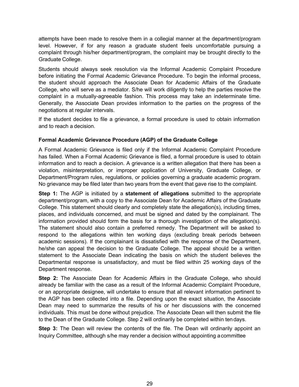attempts have been made to resolve them in a collegial manner at the department/program level. However, if for any reason a graduate student feels uncomfortable pursuing a complaint through his/her department/program, the complaint may be brought directly to the Graduate College.

Students should always seek resolution via the Informal Academic Complaint Procedure before initiating the Formal Academic Grievance Procedure. To begin the informal process, the student should approach the Associate Dean for Academic Affairs of the Graduate College, who will serve as a mediator. S/he will work diligently to help the parties resolve the complaint in a mutually-agreeable fashion. This process may take an indeterminate time. Generally, the Associate Dean provides information to the parties on the progress of the negotiations at regular intervals.

If the student decides to file a grievance, a formal procedure is used to obtain information and to reach a decision.

#### **Formal Academic Grievance Procedure (AGP) of the Graduate College**

A Formal Academic Grievance is filed only if the Informal Academic Complaint Procedure has failed. When a Formal Academic Grievance is filed, a formal procedure is used to obtain information and to reach a decision. A grievance is a written allegation that there has been a violation, misinterpretation, or improper application of University, Graduate College, or Department/Program rules, regulations, or policies governing a graduate academic program. No grievance may be filed later than two years from the event that gave rise to the complaint.

**Step 1:** The AGP is initiated by a **statement of allegations** submitted to the appropriate department/program, with a copy to the Associate Dean for Academic Affairs of the Graduate College. This statement should clearly and completely state the allegation(s), including times, places, and individuals concerned, and must be signed and dated by the complainant. The information provided should form the basis for a thorough investigation of the allegation(s). The statement should also contain a preferred remedy. The Department will be asked to respond to the allegations within ten working days (excluding break periods between academic sessions). If the complainant is dissatisfied with the response of the Department, he/she can appeal the decision to the Graduate College. The appeal should be a written statement to the Associate Dean indicating the basis on which the student believes the Departmental response is unsatisfactory, and must be filed within 25 working days of the Department response.

**Step 2:** The Associate Dean for Academic Affairs in the Graduate College, who should already be familiar with the case as a result of the Informal Academic Complaint Procedure, or an appropriate designee, will undertake to ensure that all relevant information pertinent to the AGP has been collected into a file. Depending upon the exact situation, the Associate Dean may need to summarize the results of his or her discussions with the concerned individuals. This must be done without prejudice. The Associate Dean will then submit the file to the Dean of the Graduate College. Step 2 will ordinarily be completed within tendays.

**Step 3:** The Dean will review the contents of the file. The Dean will ordinarily appoint an Inquiry Committee, although s/he may render a decision without appointing acommittee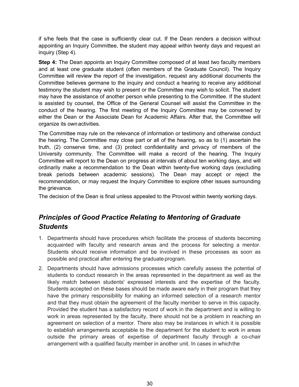if s/he feels that the case is sufficiently clear cut. If the Dean renders a decision without appointing an Inquiry Committee, the student may appeal within twenty days and request an inquiry (Step 4).

**Step 4:** The Dean appoints an Inquiry Committee composed of at least two faculty members and at least one graduate student (often members of the Graduate Council). The Inquiry Committee will review the report of the investigation, request any additional documents the Committee believes germane to the inquiry and conduct a hearing to receive any additional testimony the student may wish to present or the Committee may wish to solicit. The student may have the assistance of another person while presenting to the Committee. If the student is assisted by counsel, the Office of the General Counsel will assist the Committee in the conduct of the hearing. The first meeting of the Inquiry Committee may be convened by either the Dean or the Associate Dean for Academic Affairs. After that, the Committee will organize its ownactivities.

The Committee may rule on the relevance of information or testimony and otherwise conduct the hearing. The Committee may close part or all of the hearing, so as to (1) ascertain the truth, (2) conserve time, and (3) protect confidentiality and privacy of members of the University community. The Committee will make a record of the hearing. The Inquiry Committee will report to the Dean on progress at intervals of about ten working days, and will ordinarily make a recommendation to the Dean within twenty-five working days (excluding break periods between academic sessions). The Dean may accept or reject the recommendation, or may request the Inquiry Committee to explore other issues surrounding the grievance.

The decision of the Dean is final unless appealed to the Provost within twenty working days.

# *Principles of Good Practice Relating to Mentoring of Graduate Students*

- 1. Departments should have procedures which facilitate the process of students becoming acquainted with faculty and research areas and the process for selecting a mentor. Students should receive information and be involved in these processes as soon as possible and practical after entering the graduate program.
- 2. Departments should have admissions processes which carefully assess the potential of students to conduct research in the areas represented in the department as well as the likely match between students' expressed interests and the expertise of the faculty. Students accepted on these bases should be made aware early in their program that they have the primary responsibility for making an informed selection of a research mentor and that they must obtain the agreement of the faculty member to serve in this capacity. Provided the student has a satisfactory record of work in the department and is willing to work in areas represented by the faculty, there should not be a problem in reaching an agreement on selection of a mentor. There also may be instances in which it is possible to establish arrangements acceptable to the department for the student to work in areas outside the primary areas of expertise of department faculty through a co-chair arrangement with a qualified faculty member in another unit. In cases in whichthe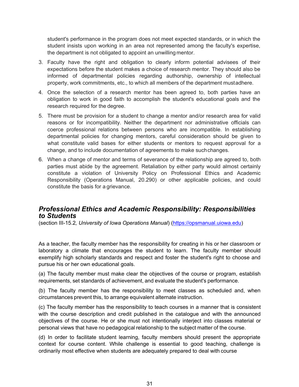student's performance in the program does not meet expected standards, or in which the student insists upon working in an area not represented among the faculty's expertise, the department is not obligated to appoint an unwilling mentor.

- 3. Faculty have the right and obligation to clearly inform potential advisees of their expectations before the student makes a choice of research mentor. They should also be informed of departmental policies regarding authorship, ownership of intellectual property, work commitments, etc., to which all members of the department mustadhere.
- 4. Once the selection of a research mentor has been agreed to, both parties have an obligation to work in good faith to accomplish the student's educational goals and the research required for the degree.
- 5. There must be provision for a student to change a mentor and/or research area for valid reasons or for incompatibility. Neither the department nor administrative officials can coerce professional relations between persons who are incompatible. In establishing departmental policies for changing mentors, careful consideration should be given to what constitute valid bases for either students or mentors to request approval for a change, and to include documentation of agreements to make suchchanges.
- 6. When a change of mentor and terms of severance of the relationship are agreed to, both parties must abide by the agreement. Retaliation by either party would almost certainly constitute a violation of University Policy on Professional Ethics and Academic Responsibility (Operations Manual, 20.290) or other applicable policies, and could constitute the basis for a grievance.

### *Professional Ethics and Academic Responsibility: Responsibilities to Students*

(section III-15.2*, University of Iowa Operations Manual*) (https://opsmanual.uiowa.edu)

As a teacher, the faculty member has the responsibility for creating in his or her classroom or laboratory a climate that encourages the student to learn. The faculty member should exemplify high scholarly standards and respect and foster the student's right to choose and pursue his or her own educational goals.

(a) The faculty member must make clear the objectives of the course or program, establish requirements, set standards of achievement, and evaluate the student's performance.

(b) The faculty member has the responsibility to meet classes as scheduled and, when circumstances prevent this, to arrange equivalent alternate instruction.

(c) The faculty member has the responsibility to teach courses in a manner that is consistent with the course description and credit published in the catalogue and with the announced objectives of the course. He or she must not intentionally interject into classes material or personal views that have no pedagogical relationship to the subject matter of the course.

(d) In order to facilitate student learning, faculty members should present the appropriate context for course content. While challenge is essential to good teaching, challenge is ordinarily most effective when students are adequately prepared to deal with course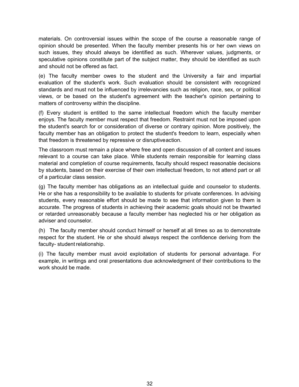materials. On controversial issues within the scope of the course a reasonable range of opinion should be presented. When the faculty member presents his or her own views on such issues, they should always be identified as such. Wherever values, judgments, or speculative opinions constitute part of the subject matter, they should be identified as such and should not be offered as fact.

(e) The faculty member owes to the student and the University a fair and impartial evaluation of the student's work. Such evaluation should be consistent with recognized standards and must not be influenced by irrelevancies such as religion, race, sex, or political views, or be based on the student's agreement with the teacher's opinion pertaining to matters of controversy within the discipline.

(f) Every student is entitled to the same intellectual freedom which the faculty member enjoys. The faculty member must respect that freedom. Restraint must not be imposed upon the student's search for or consideration of diverse or contrary opinion. More positively, the faculty member has an obligation to protect the student's freedom to learn, especially when that freedom is threatened by repressive or disruptiveaction.

The classroom must remain a place where free and open discussion of all content and issues relevant to a course can take place. While students remain responsible for learning class material and completion of course requirements, faculty should respect reasonable decisions by students, based on their exercise of their own intellectual freedom, to not attend part or all of a particular class session.

(g) The faculty member has obligations as an intellectual guide and counselor to students. He or she has a responsibility to be available to students for private conferences. In advising students, every reasonable effort should be made to see that information given to them is accurate. The progress of students in achieving their academic goals should not be thwarted or retarded unreasonably because a faculty member has neglected his or her obligation as adviser and counselor.

(h) The faculty member should conduct himself or herself at all times so as to demonstrate respect for the student. He or she should always respect the confidence deriving from the faculty- student relationship.

(i) The faculty member must avoid exploitation of students for personal advantage. For example, in writings and oral presentations due acknowledgment of their contributions to the work should be made.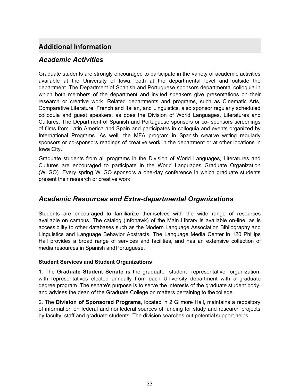# **Additional Information**

### *Academic Activities*

Graduate students are strongly encouraged to participate in the variety of academic activities available at the University of Iowa, both at the departmental level and outside the department. The Department of Spanish and Portuguese sponsors departmental colloquia in which both members of the department and invited speakers give presentations on their research or creative work. Related departments and programs, such as Cinematic Arts, Comparative Literature, French and Italian, and Linguistics, also sponsor regularly scheduled colloquia and guest speakers, as does the Division of World Languages, Literatures and Cultures. The Department of Spanish and Portuguese sponsors or co- sponsors screenings of films from Latin America and Spain and participates in colloquia and events organized by International Programs. As well, the MFA program in Spanish creative writing regularly sponsors or co-sponsors readings of creative work in the department or at other locations in Iowa City.

Graduate students from all programs in the Division of World Languages, Literatures and Cultures are encouraged to participate in the World Languages Graduate Organization (WLGO). Every spring WLGO sponsors a one-day conference in which graduate students present their research or creative work.

### *Academic Resources and Extra-departmental Organizations*

Students are encouraged to familiarize themselves with the wide range of resources available on campus. The catalog (Infohawk) of the Main Library is available on-line, as is accessibility to other databases such as the Modern Language Association Bibliography and Linguistics and Language Behavior Abstracts. The Language Media Center in 120 Phillips Hall provides a broad range of services and facilities, and has an extensive collection of media resources in Spanish and Portuguese.

#### **Student Services and Student Organizations**

1. The **Graduate Student Senate is** the graduate student representative organization, with representatives elected annually from each University department with a graduate degree program. The senate's purpose is to serve the interests of the graduate student body, and advises the dean of the Graduate College on matters pertaining to thecollege.

2. The **Division of Sponsored Programs**, located in 2 Gilmore Hall, maintains a repository of information on federal and nonfederal sources of funding for study and research projects by faculty, staff and graduate students. The division searches out potential support,helps